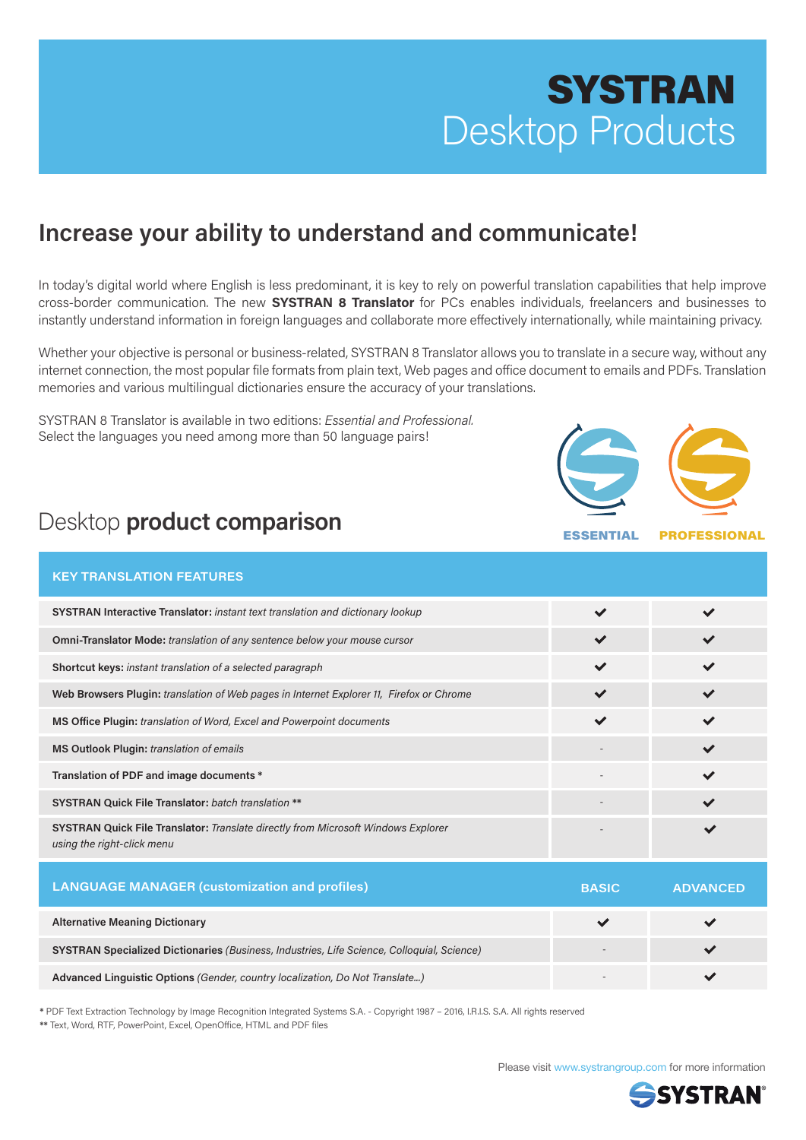# **SYSTRAN** Desktop Products

## **Increase your ability to understand and communicate!**

In today's digital world where English is less predominant, it is key to rely on powerful translation capabilities that help improve cross-border communication. The new **SYSTRAN 8 Translator** for PCs enables individuals, freelancers and businesses to instantly understand information in foreign languages and collaborate more effectively internationally, while maintaining privacy.

Whether your objective is personal or business-related, SYSTRAN 8 Translator allows you to translate in a secure way, without any internet connection, the most popular file formats from plain text, Web pages and office document to emails and PDFs. Translation memories and various multilingual dictionaries ensure the accuracy of your translations.

SYSTRAN 8 Translator is available in two editions: *Essential and Professional.* Select the languages you need among more than 50 language pairs!



ESSENTIAL PROFESSIONAL

## Desktop **product comparison**

|  | <b>KEY TRANSLATION FEATURES</b> |  |
|--|---------------------------------|--|
|  |                                 |  |

| SYSTRAN Interactive Translator: instant text translation and dictionary lookup                                  | $\checkmark$ |                 |
|-----------------------------------------------------------------------------------------------------------------|--------------|-----------------|
| <b>Omni-Translator Mode:</b> translation of any sentence below your mouse cursor                                | $\checkmark$ |                 |
| Shortcut keys: instant translation of a selected paragraph                                                      | $\checkmark$ | $\checkmark$    |
| Web Browsers Plugin: translation of Web pages in Internet Explorer 11, Firefox or Chrome                        |              |                 |
| MS Office Plugin: translation of Word, Excel and Powerpoint documents                                           | $\checkmark$ |                 |
| MS Outlook Plugin: translation of emails                                                                        |              | $\checkmark$    |
| Translation of PDF and image documents *                                                                        |              | $\checkmark$    |
| <b>SYSTRAN Quick File Translator:</b> batch translation **                                                      |              | $\checkmark$    |
| SYSTRAN Quick File Translator: Translate directly from Microsoft Windows Explorer<br>using the right-click menu |              |                 |
| <b>LANGUAGE MANAGER (customization and profiles)</b>                                                            | <b>BASIC</b> | <b>ADVANCED</b> |

|                                                                                            | ------- | . |
|--------------------------------------------------------------------------------------------|---------|---|
| <b>Alternative Meaning Dictionary</b>                                                      |         |   |
| SYSTRAN Specialized Dictionaries (Business, Industries, Life Science, Colloquial, Science) |         |   |
| Advanced Linguistic Options (Gender, country localization, Do Not Translate)               |         |   |

**\*** PDF Text Extraction Technology by Image Recognition Integrated Systems S.A. - Copyright 1987 – 2016, I.R.I.S. S.A. All rights reserved \*\* Text, Word, RTF, PowerPoint, Excel, OpenOffice, HTML and PDF files

Please visit www.systrangroup.com for more information